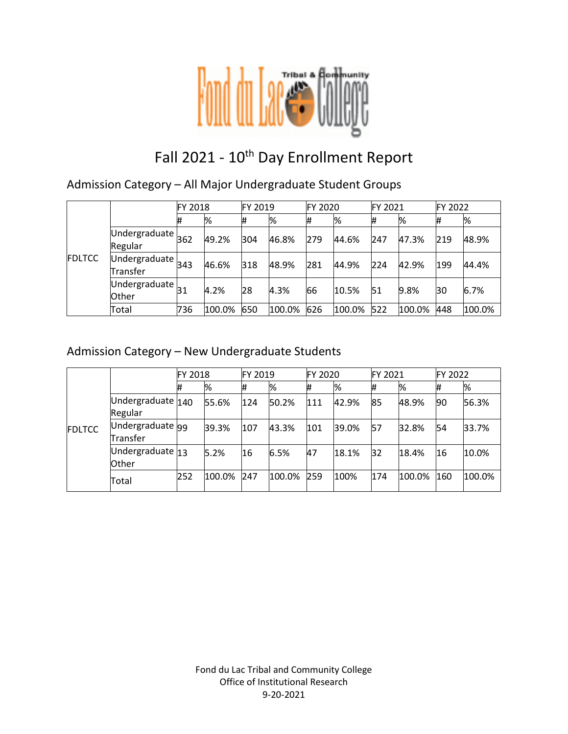

# Fall 2021 - 10<sup>th</sup> Day Enrollment Report

Admission Category – All Major Undergraduate Student Groups

|               | FY 2018                               |     |        | FY 2019 |        | FY 2020 |        | <b>FY 2021</b> |        | FY 2022 |        |
|---------------|---------------------------------------|-----|--------|---------|--------|---------|--------|----------------|--------|---------|--------|
| <b>FDLTCC</b> |                                       | #   | %      | #       | %      | #       | %      | l#             | %      | #       | %      |
|               | Undergraduate $362$<br>Regular        |     | 49.2%  | 304     | 46.8%  | 279     | 44.6%  | 247            | 47.3%  | 219     | 48.9%  |
|               | Undergraduate $_{343}$<br>Transfer    |     | 46.6%  | 318     | 48.9%  | 281     | 44.9%  | 224            | 42.9%  | 199     | 44.4%  |
|               | Undergraduate $_{31}$<br><b>Other</b> |     | 4.2%   | 28      | 4.3%   | 66      | 10.5%  | 51             | 9.8%   | 30      | 6.7%   |
|               | Total                                 | 736 | 100.0% | 650     | 100.0% | 626     | 100.0% | 522            | 100.0% | 448     | 100.0% |

### Admission Category – New Undergraduate Students

|               |                              | FY 2018 |        | <b>IFY 2019</b> |        | <b>FY 2020</b> |       | FY 2021 |        | FY 2022 |        |
|---------------|------------------------------|---------|--------|-----------------|--------|----------------|-------|---------|--------|---------|--------|
| <b>FDLTCC</b> |                              |         | %      | #               | %      | #              | %     | #       | %      | #       | %      |
|               | Undergraduate 140<br>Regular |         | 55.6%  | 124             | 50.2%  | 111            | 42.9% | 85      | 48.9%  | 90      | 56.3%  |
|               | Undergraduate 99<br>Transfer |         | 39.3%  | 107             | 43.3%  | 101            | 39.0% | 57      | 32.8%  | 54      | 33.7%  |
|               | Undergraduate 13<br>Other    |         | 5.2%   | 16              | 6.5%   | 47             | 18.1% | 32      | 18.4%  | 16      | 10.0%  |
|               | Total                        | 252     | 100.0% | 247             | 100.0% | 259            | 100%  | 174     | 100.0% | 160     | 100.0% |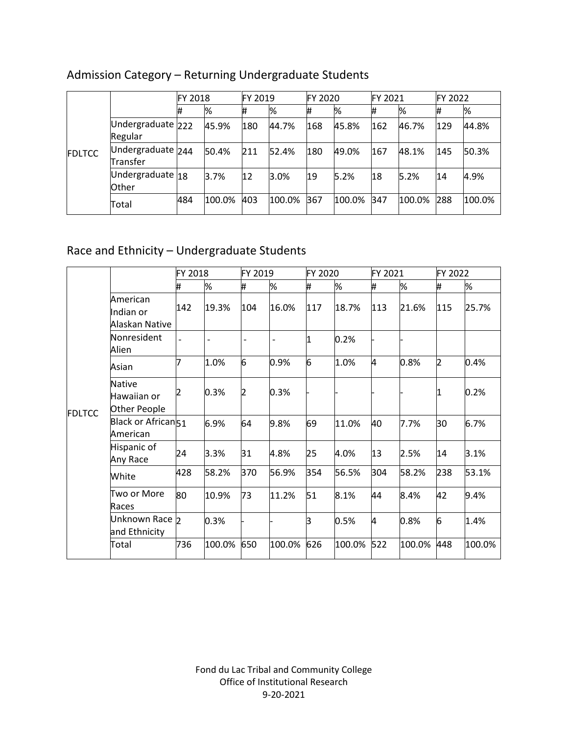|               |                               | <b>FY 2018</b> |        | FY 2019 |        | FY 2020 |        | FY 2021 |        | FY 2022 |        |
|---------------|-------------------------------|----------------|--------|---------|--------|---------|--------|---------|--------|---------|--------|
| <b>FDLTCC</b> |                               | 1#             | %      |         | %      | #       | %      | #       | %      |         | %      |
|               | Undergraduate 222<br>Regular  |                | 45.9%  | 180     | 44.7%  | 168     | 45.8%  | 162     | 46.7%  | 129     | 44.8%  |
|               | Undergraduate 244<br>Transfer |                | 50.4%  | 211     | 52.4%  | 180     | 49.0%  | 167     | 48.1%  | 145     | 50.3%  |
|               | Undergraduate 18<br>Other     |                | 3.7%   | 12      | 3.0%   | 19      | 5.2%   | 18      | 5.2%   | 14      | 4.9%   |
|               | Total                         | 484            | 100.0% | 403     | 100.0% | 367     | 100.0% | 347     | 100.0% | 288     | 100.0% |

# Admission Category – Returning Undergraduate Students

# Race and Ethnicity – Undergraduate Students

|               |                                              | FY 2018 |        | FY 2019                  |                | <b>FY 2020</b> |        | FY 2021 |        | FY 2022        |        |
|---------------|----------------------------------------------|---------|--------|--------------------------|----------------|----------------|--------|---------|--------|----------------|--------|
|               |                                              | #       | %      | #                        | %              | #              | %      | #       | %      | #              | %      |
|               | American<br>Indian or<br>Alaskan Native      | 142     | 19.3%  | 104                      | 16.0%          | 117            | 18.7%  | 113     | 21.6%  | 115            | 25.7%  |
|               | Nonresident<br>Alien                         |         |        | $\overline{\phantom{a}}$ | $\overline{a}$ | 1              | 0.2%   |         |        |                |        |
|               | Asian                                        |         | 1.0%   | 6                        | 0.9%           | 6              | 1.0%   | 4       | 0.8%   | $\overline{2}$ | 0.4%   |
| <b>FDLTCC</b> | <b>Native</b><br>Hawaiian or<br>Other People |         | 0.3%   | 2                        | 0.3%           |                |        |         |        |                | 0.2%   |
|               | Black or African <sub>51</sub><br>American   |         | 6.9%   | 64                       | 9.8%           | 69             | 11.0%  | 40      | 7.7%   | 30             | 6.7%   |
|               | Hispanic of<br>Any Race                      | 24      | 3.3%   | 31                       | 4.8%           | 25             | 4.0%   | 13      | 2.5%   | 14             | 3.1%   |
|               | White                                        | 428     | 58.2%  | 370                      | 56.9%          | 354            | 56.5%  | 304     | 58.2%  | 238            | 53.1%  |
|               | Two or More<br>Races                         | 80      | 10.9%  | 73                       | 11.2%          | 51             | 8.1%   | 44      | 8.4%   | 42             | 9.4%   |
|               | Unknown Race 2<br>and Ethnicity              |         | 0.3%   |                          |                | З              | 0.5%   | 4       | 0.8%   | 6              | 1.4%   |
|               | Total                                        | 736     | 100.0% | 650                      | 100.0%         | 626            | 100.0% | 522     | 100.0% | 448            | 100.0% |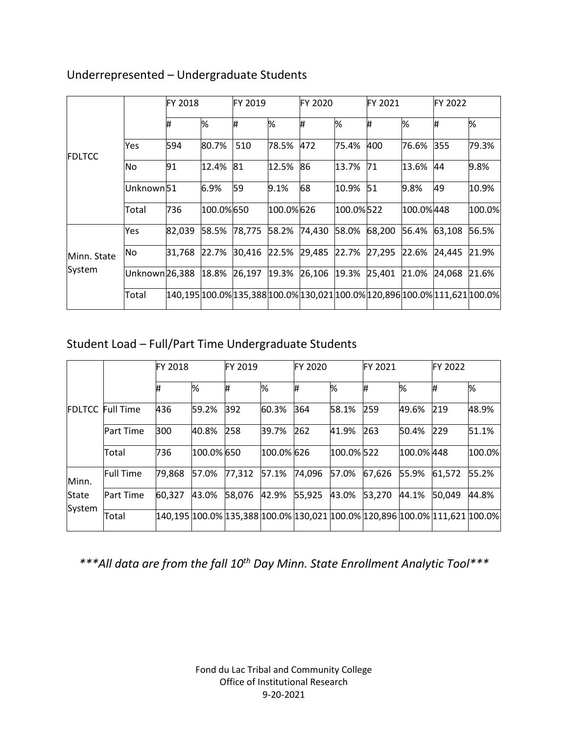|                |                            | FY 2018 |           | FY 2019 |           | <b>FY 2020</b>                                                             |           | FY 2021 |           | <b>FY 2022</b> |        |
|----------------|----------------------------|---------|-----------|---------|-----------|----------------------------------------------------------------------------|-----------|---------|-----------|----------------|--------|
| <b>IFDLTCC</b> |                            | #       | %         | #       | %         | Ħ.                                                                         | %         | #       | %         | #              | %      |
|                | Yes                        | 594     | 80.7%     | 510     | 78.5%     | 472                                                                        | 75.4%     | 400     | 76.6%     | 355            | 79.3%  |
|                | No.                        | 91      | 12.4%     | 81      | 12.5%     | 86                                                                         | 13.7%     | 71      | 13.6%     | 44             | 9.8%   |
|                | Unknown <sub>51</sub>      |         | 6.9%      | 59      | 9.1%      | 68                                                                         | 10.9%     | 51      | 9.8%      | 49             | 10.9%  |
|                | Total                      | 736     | 100.0%650 |         | 100.0%626 |                                                                            | 100.0%522 |         | 100.0%448 |                | 100.0% |
|                | Yes                        | 82,039  | 58.5%     | 78,775  | 58.2%     | 74,430                                                                     | 58.0%     | 68,200  | 56.4%     | 63,108         | 56.5%  |
| Minn. State    | No                         | 31,768  | 22.7%     | 30,416  | 22.5%     | 29,485                                                                     | 22.7%     | 27,295  | 22.6%     | 24,445         | 21.9%  |
| System         | Unknown <sub>26</sub> ,388 |         | 18.8%     | 26,197  |           | 19.3% 26,106                                                               | 19.3%     | 25,401  | 21.0%     | 24,068         | 21.6%  |
|                | Total                      |         |           |         |           | 140,195 100.0% 135,388 100.0% 130,021 100.0% 120,896 100.0% 111,621 100.0% |           |         |           |                |        |

### Underrepresented – Undergraduate Students

# Student Load – Full/Part Time Undergraduate Students

|               |                  | <b>FY 2018</b> |            | FY 2019 |            | <b>IFY 2020</b> |            | <b>FY 2021</b>                                                             |            | FY 2022 |        |
|---------------|------------------|----------------|------------|---------|------------|-----------------|------------|----------------------------------------------------------------------------|------------|---------|--------|
|               |                  | #              | %          | #       | %          | #               | %          | #                                                                          | %          | ₩       | %      |
| <b>FDLTCC</b> | <b>Full Time</b> | 436            | 59.2%      | 392     | 60.3%      | 364             | 58.1%      | 259                                                                        | 49.6%      | 219     | 48.9%  |
|               | <b>Part Time</b> | 300            | 40.8%      | 258     | 39.7%      | 262             | 41.9%      | 263                                                                        | 50.4%      | 229     | 51.1%  |
|               | Total            | 736            | 100.0% 650 |         | 100.0% 626 |                 | 100.0% 522 |                                                                            | 100.0% 448 |         | 100.0% |
| Minn.         | <b>Full Time</b> | 79,868         | 57.0%      | 77,312  | 57.1%      | 74,096          | 57.0%      | 67,626                                                                     | 55.9%      | 61,572  | 55.2%  |
| State         | <b>Part Time</b> | 60,327         | 43.0%      | 58,076  | 42.9%      | 55,925          | 43.0%      | 53,270                                                                     | 44.1%      | 50,049  | 44.8%  |
| System        | Total            |                |            |         |            |                 |            | 140,195 100.0% 135,388 100.0% 130,021 100.0% 120,896 100.0% 111,621 100.0% |            |         |        |

*\*\*\*All data are from the fall 10th Day Minn. State Enrollment Analytic Tool\*\*\**